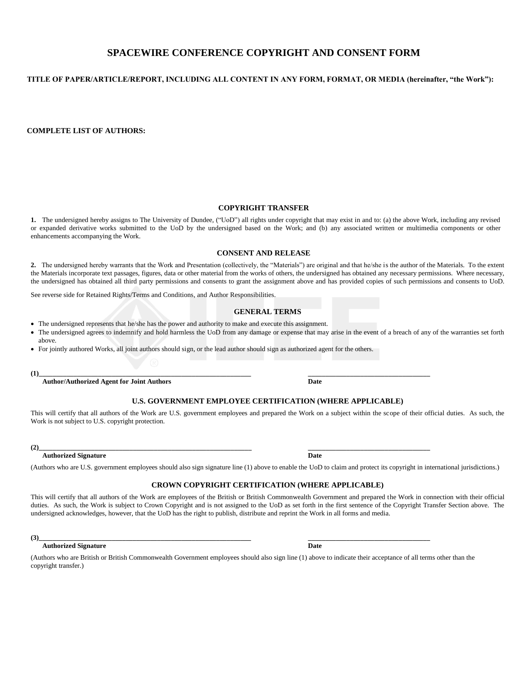## **SPACEWIRE CONFERENCE COPYRIGHT AND CONSENT FORM**

## **TITLE OF PAPER/ARTICLE/REPORT, INCLUDING ALL CONTENT IN ANY FORM, FORMAT, OR MEDIA (hereinafter, "the Work"):**

**COMPLETE LIST OF AUTHORS:**

## **COPYRIGHT TRANSFER**

**1.** The undersigned hereby assigns to The University of Dundee, ("UoD") all rights under copyright that may exist in and to: (a) the above Work, including any revised or expanded derivative works submitted to the UoD by the undersigned based on the Work; and (b) any associated written or multimedia components or other enhancements accompanying the Work.

### **CONSENT AND RELEASE**

**2.** The undersigned hereby warrants that the Work and Presentation (collectively, the "Materials") are original and that he/she is the author of the Materials. To the extent the Materials incorporate text passages, figures, data or other material from the works of others, the undersigned has obtained any necessary permissions. Where necessary, the undersigned has obtained all third party permissions and consents to grant the assignment above and has provided copies of such permissions and consents to UoD.

See reverse side for Retained Rights/Terms and Conditions, and Author Responsibilities.

## **GENERAL TERMS**

- The undersigned represents that he/she has the power and authority to make and execute this assignment.
- The undersigned agrees to indemnify and hold harmless the UoD from any damage or expense that may arise in the event of a breach of any of the warranties set forth above.
- For jointly authored Works, all joint authors should sign, or the lead author should sign as authorized agent for the others.

**(1)\_\_\_\_\_\_\_\_\_\_\_\_\_\_\_\_\_\_\_\_\_\_\_\_\_\_\_\_\_\_\_\_\_\_\_\_\_\_\_\_\_\_\_\_\_\_\_\_\_\_\_\_\_\_\_\_\_\_\_\_\_ \_\_\_\_\_\_\_\_\_\_\_\_\_\_\_\_\_\_\_\_\_\_\_\_\_\_\_\_\_\_\_\_\_\_\_**

**Author/Authorized Agent for Joint Authors Date**

## **U.S. GOVERNMENT EMPLOYEE CERTIFICATION (WHERE APPLICABLE)**

This will certify that all authors of the Work are U.S. government employees and prepared the Work on a subject within the scope of their official duties. As such, the Work is not subject to U.S. copyright protection.

**(2)\_\_\_\_\_\_\_\_\_\_\_\_\_\_\_\_\_\_\_\_\_\_\_\_\_\_\_\_\_\_\_\_\_\_\_\_\_\_\_\_\_\_\_\_\_\_\_\_\_\_\_\_\_\_\_\_\_\_\_\_\_ \_\_\_\_\_\_\_\_\_\_\_\_\_\_\_\_\_\_\_\_\_\_\_\_\_\_\_\_\_\_\_\_\_\_\_**

#### **Authorized Signature Date**

(Authors who are U.S. government employees should also sign signature line (1) above to enable the UoD to claim and protect its copyright in international jurisdictions.)

### **CROWN COPYRIGHT CERTIFICATION (WHERE APPLICABLE)**

This will certify that all authors of the Work are employees of the British or British Commonwealth Government and prepared the Work in connection with their official duties. As such, the Work is subject to Crown Copyright and is not assigned to the UoD as set forth in the first sentence of the Copyright Transfer Section above. The undersigned acknowledges, however, that the UoD has the right to publish, distribute and reprint the Work in all forms and media.

**(3)\_\_\_\_\_\_\_\_\_\_\_\_\_\_\_\_\_\_\_\_\_\_\_\_\_\_\_\_\_\_\_\_\_\_\_\_\_\_\_\_\_\_\_\_\_\_\_\_\_\_\_\_\_\_\_\_\_\_\_\_\_ \_\_\_\_\_\_\_\_\_\_\_\_\_\_\_\_\_\_\_\_\_\_\_\_\_\_\_\_\_\_\_\_\_\_\_**

### **Authorized Signature Date**

(Authors who are British or British Commonwealth Government employees should also sign line (1) above to indicate their acceptance of all terms other than the copyright transfer.)